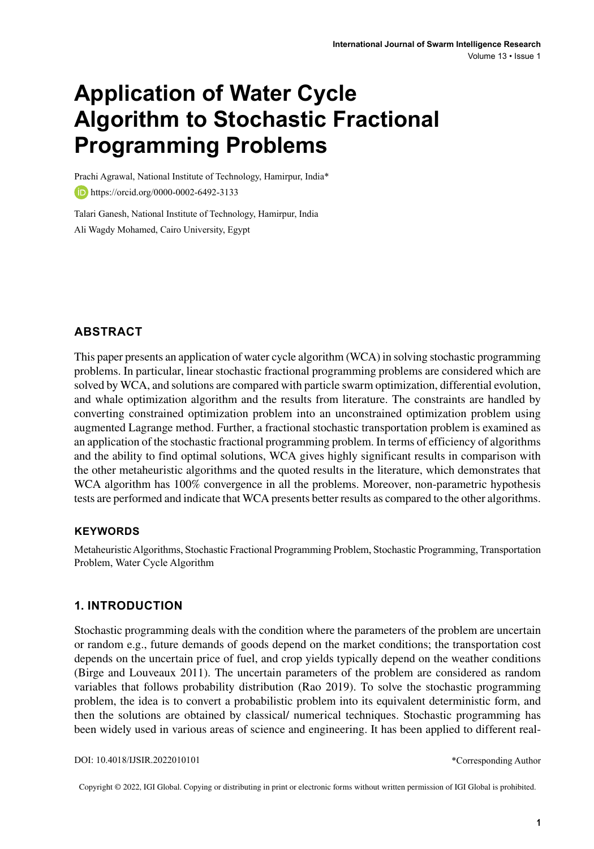# **Application of Water Cycle Algorithm to Stochastic Fractional Programming Problems**

Prachi Agrawal, National Institute of Technology, Hamirpur, India\* **https://orcid.org/0000-0002-6492-3133** 

Talari Ganesh, National Institute of Technology, Hamirpur, India Ali Wagdy Mohamed, Cairo University, Egypt

## **ABSTRACT**

This paper presents an application of water cycle algorithm (WCA) in solving stochastic programming problems. In particular, linear stochastic fractional programming problems are considered which are solved by WCA, and solutions are compared with particle swarm optimization, differential evolution, and whale optimization algorithm and the results from literature. The constraints are handled by converting constrained optimization problem into an unconstrained optimization problem using augmented Lagrange method. Further, a fractional stochastic transportation problem is examined as an application of the stochastic fractional programming problem. In terms of efficiency of algorithms and the ability to find optimal solutions, WCA gives highly significant results in comparison with the other metaheuristic algorithms and the quoted results in the literature, which demonstrates that WCA algorithm has 100% convergence in all the problems. Moreover, non-parametric hypothesis tests are performed and indicate that WCA presents better results as compared to the other algorithms.

#### **Keywords**

Metaheuristic Algorithms, Stochastic Fractional Programming Problem, Stochastic Programming, Transportation Problem, Water Cycle Algorithm

#### **1. INTRODUCTION**

Stochastic programming deals with the condition where the parameters of the problem are uncertain or random e.g., future demands of goods depend on the market conditions; the transportation cost depends on the uncertain price of fuel, and crop yields typically depend on the weather conditions (Birge and Louveaux 2011). The uncertain parameters of the problem are considered as random variables that follows probability distribution (Rao 2019). To solve the stochastic programming problem, the idea is to convert a probabilistic problem into its equivalent deterministic form, and then the solutions are obtained by classical/ numerical techniques. Stochastic programming has been widely used in various areas of science and engineering. It has been applied to different real-

DOI: 10.4018/IJSIR.2022010101

\*Corresponding Author

Copyright © 2022, IGI Global. Copying or distributing in print or electronic forms without written permission of IGI Global is prohibited.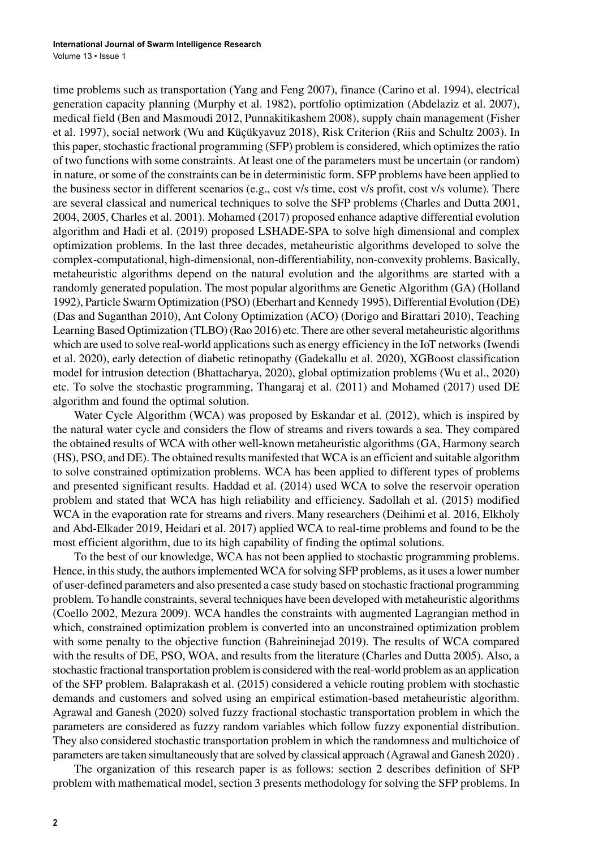time problems such as transportation (Yang and Feng 2007), finance (Carino et al. 1994), electrical generation capacity planning (Murphy et al. 1982), portfolio optimization (Abdelaziz et al. 2007), medical field (Ben and Masmoudi 2012, Punnakitikashem 2008), supply chain management (Fisher et al. 1997), social network (Wu and Küçükyavuz 2018), Risk Criterion (Riis and Schultz 2003). In this paper, stochastic fractional programming (SFP) problem is considered, which optimizes the ratio of two functions with some constraints. At least one of the parameters must be uncertain (or random) in nature, or some of the constraints can be in deterministic form. SFP problems have been applied to the business sector in different scenarios (e.g., cost v/s time, cost v/s profit, cost v/s volume). There are several classical and numerical techniques to solve the SFP problems (Charles and Dutta 2001, 2004, 2005, Charles et al. 2001). Mohamed (2017) proposed enhance adaptive differential evolution algorithm and Hadi et al. (2019) proposed LSHADE-SPA to solve high dimensional and complex optimization problems. In the last three decades, metaheuristic algorithms developed to solve the complex-computational, high-dimensional, non-differentiability, non-convexity problems. Basically, metaheuristic algorithms depend on the natural evolution and the algorithms are started with a randomly generated population. The most popular algorithms are Genetic Algorithm (GA) (Holland 1992), Particle Swarm Optimization (PSO) (Eberhart and Kennedy 1995), Differential Evolution (DE) (Das and Suganthan 2010), Ant Colony Optimization (ACO) (Dorigo and Birattari 2010), Teaching Learning Based Optimization (TLBO) (Rao 2016) etc. There are otherseveral metaheuristic algorithms which are used to solve real-world applications such as energy efficiency in the IoT networks (Iwendi et al. 2020), early detection of diabetic retinopathy (Gadekallu et al. 2020), XGBoost classification model for intrusion detection (Bhattacharya, 2020), global optimization problems (Wu et al., 2020) etc. To solve the stochastic programming, Thangaraj et al. (2011) and Mohamed (2017) used DE algorithm and found the optimal solution.

Water Cycle Algorithm (WCA) was proposed by Eskandar et al. (2012), which is inspired by the natural water cycle and considers the flow of streams and rivers towards a sea. They compared the obtained results of WCA with other well-known metaheuristic algorithms (GA, Harmony search (HS), PSO, and DE). The obtained results manifested that WCA is an efficient and suitable algorithm to solve constrained optimization problems. WCA has been applied to different types of problems and presented significant results. Haddad et al. (2014) used WCA to solve the reservoir operation problem and stated that WCA has high reliability and efficiency. Sadollah et al. (2015) modified WCA in the evaporation rate for streams and rivers. Many researchers (Deihimi et al. 2016, Elkholy and Abd-Elkader 2019, Heidari et al. 2017) applied WCA to real-time problems and found to be the most efficient algorithm, due to its high capability of finding the optimal solutions.

To the best of our knowledge, WCA has not been applied to stochastic programming problems. Hence, in this study, the authors implemented WCA for solving SFP problems, as it uses a lower number of user-defined parameters and also presented a case study based on stochastic fractional programming problem. To handle constraints, several techniques have been developed with metaheuristic algorithms (Coello 2002, Mezura 2009). WCA handles the constraints with augmented Lagrangian method in which, constrained optimization problem is converted into an unconstrained optimization problem with some penalty to the objective function (Bahreininejad 2019). The results of WCA compared with the results of DE, PSO, WOA, and results from the literature (Charles and Dutta 2005). Also, a stochastic fractional transportation problem is considered with the real-world problem as an application of the SFP problem. Balaprakash et al. (2015) considered a vehicle routing problem with stochastic demands and customers and solved using an empirical estimation-based metaheuristic algorithm. Agrawal and Ganesh (2020) solved fuzzy fractional stochastic transportation problem in which the parameters are considered as fuzzy random variables which follow fuzzy exponential distribution. They also considered stochastic transportation problem in which the randomness and multichoice of parameters are taken simultaneously that are solved by classical approach (Agrawal and Ganesh 2020) .

The organization of this research paper is as follows: section 2 describes definition of SFP problem with mathematical model, section 3 presents methodology for solving the SFP problems. In